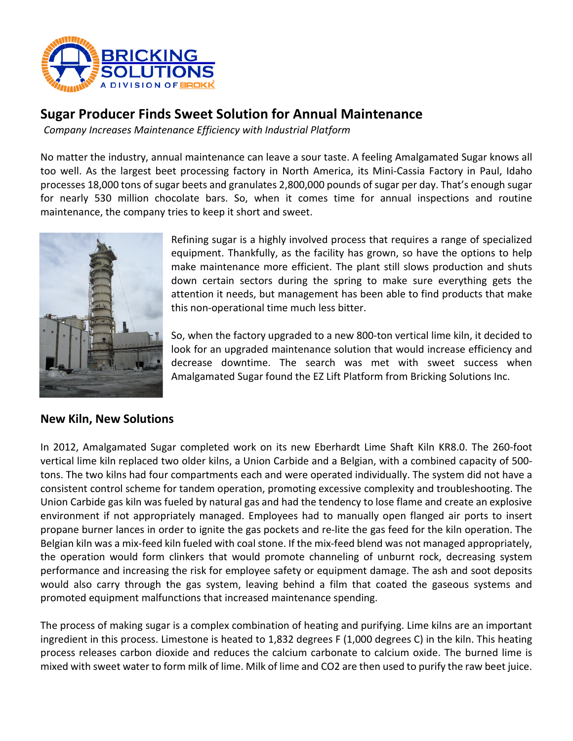

# **Sugar Producer Finds Sweet Solution for Annual Maintenance**

*Company Increases Maintenance Efficiency with Industrial Platform* 

No matter the industry, annual maintenance can leave a sour taste. A feeling Amalgamated Sugar knows all too well. As the largest beet processing factory in North America, its Mini-Cassia Factory in Paul, Idaho processes 18,000 tons of sugar beets and granulates 2,800,000 pounds of sugar per day. That's enough sugar for nearly 530 million chocolate bars. So, when it comes time for annual inspections and routine maintenance, the company tries to keep it short and sweet.



Refining sugar is a highly involved process that requires a range of specialized equipment. Thankfully, as the facility has grown, so have the options to help make maintenance more efficient. The plant still slows production and shuts down certain sectors during the spring to make sure everything gets the attention it needs, but management has been able to find products that make this non-operational time much less bitter.

So, when the factory upgraded to a new 800-ton vertical lime kiln, it decided to look for an upgraded maintenance solution that would increase efficiency and decrease downtime. The search was met with sweet success when Amalgamated Sugar found the EZ Lift Platform from Bricking Solutions Inc.

### **New Kiln, New Solutions**

In 2012, Amalgamated Sugar completed work on its new Eberhardt Lime Shaft Kiln KR8.0. The 260-foot vertical lime kiln replaced two older kilns, a Union Carbide and a Belgian, with a combined capacity of 500 tons. The two kilns had four compartments each and were operated individually. The system did not have a consistent control scheme for tandem operation, promoting excessive complexity and troubleshooting. The Union Carbide gas kiln was fueled by natural gas and had the tendency to lose flame and create an explosive environment if not appropriately managed. Employees had to manually open flanged air ports to insert propane burner lances in order to ignite the gas pockets and re-lite the gas feed for the kiln operation. The Belgian kiln was a mix-feed kiln fueled with coal stone. If the mix-feed blend was not managed appropriately, the operation would form clinkers that would promote channeling of unburnt rock, decreasing system performance and increasing the risk for employee safety or equipment damage. The ash and soot deposits would also carry through the gas system, leaving behind a film that coated the gaseous systems and promoted equipment malfunctions that increased maintenance spending.

The process of making sugar is a complex combination of heating and purifying. Lime kilns are an important ingredient in this process. Limestone is heated to 1,832 degrees F (1,000 degrees C) in the kiln. This heating process releases carbon dioxide and reduces the calcium carbonate to calcium oxide. The burned lime is mixed with sweet water to form milk of lime. Milk of lime and CO2 are then used to purify the raw beet juice.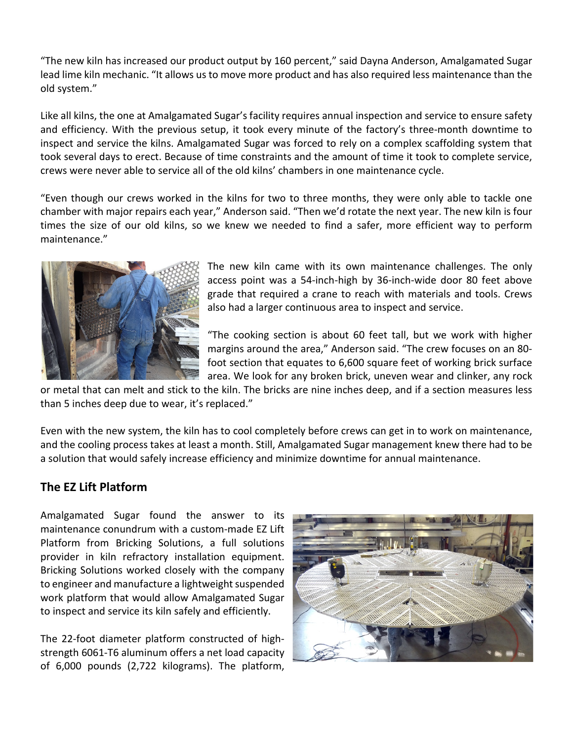"The new kiln has increased our product output by 160 percent," said Dayna Anderson, Amalgamated Sugar lead lime kiln mechanic. "It allows us to move more product and has also required less maintenance than the old system."

Like all kilns, the one at Amalgamated Sugar's facility requires annual inspection and service to ensure safety and efficiency. With the previous setup, it took every minute of the factory's three-month downtime to inspect and service the kilns. Amalgamated Sugar was forced to rely on a complex scaffolding system that took several days to erect. Because of time constraints and the amount of time it took to complete service, crews were never able to service all of the old kilns' chambers in one maintenance cycle.

"Even though our crews worked in the kilns for two to three months, they were only able to tackle one chamber with major repairs each year," Anderson said. "Then we'd rotate the next year. The new kiln is four times the size of our old kilns, so we knew we needed to find a safer, more efficient way to perform maintenance."



The new kiln came with its own maintenance challenges. The only access point was a 54-inch-high by 36-inch-wide door 80 feet above grade that required a crane to reach with materials and tools. Crews also had a larger continuous area to inspect and service.

"The cooking section is about 60 feet tall, but we work with higher margins around the area," Anderson said. "The crew focuses on an 80 foot section that equates to 6,600 square feet of working brick surface area. We look for any broken brick, uneven wear and clinker, any rock

or metal that can melt and stick to the kiln. The bricks are nine inches deep, and if a section measures less than 5 inches deep due to wear, it's replaced."

Even with the new system, the kiln has to cool completely before crews can get in to work on maintenance, and the cooling process takes at least a month. Still, Amalgamated Sugar management knew there had to be a solution that would safely increase efficiency and minimize downtime for annual maintenance.

## **The EZ Lift Platform**

Amalgamated Sugar found the answer to its maintenance conundrum with a custom-made EZ Lift Platform from Bricking Solutions, a full solutions provider in kiln refractory installation equipment. Bricking Solutions worked closely with the company to engineer and manufacture a lightweight suspended work platform that would allow Amalgamated Sugar to inspect and service its kiln safely and efficiently.

The 22-foot diameter platform constructed of highstrength 6061-T6 aluminum offers a net load capacity of 6,000 pounds (2,722 kilograms). The platform,

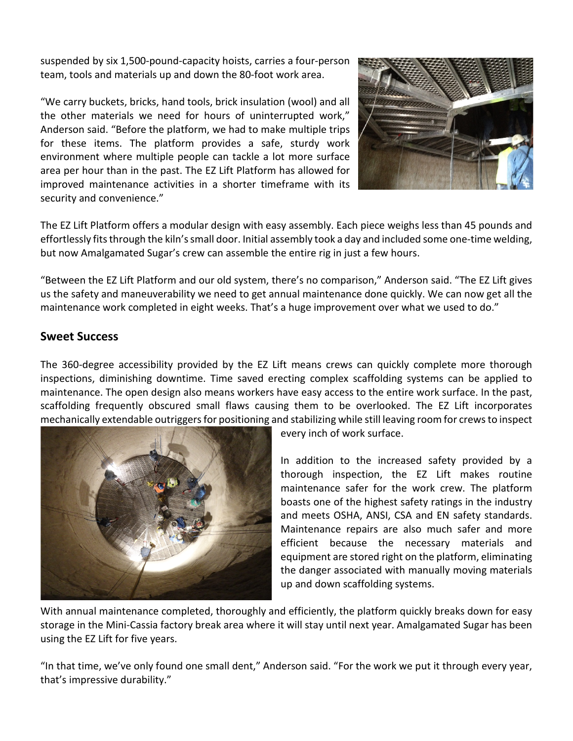suspended by six 1,500-pound-capacity hoists, carries a four-person team, tools and materials up and down the 80-foot work area.



"We carry buckets, bricks, hand tools, brick insulation (wool) and all the other materials we need for hours of uninterrupted work," Anderson said. "Before the platform, we had to make multiple trips for these items. The platform provides a safe, sturdy work environment where multiple people can tackle a lot more surface area per hour than in the past. The EZ Lift Platform has allowed for improved maintenance activities in a shorter timeframe with its security and convenience."

The EZ Lift Platform offers a modular design with easy assembly. Each piece weighs less than 45 pounds and effortlessly fits through the kiln's small door. Initial assembly took a day and included some one-time welding, but now Amalgamated Sugar's crew can assemble the entire rig in just a few hours.

"Between the EZ Lift Platform and our old system, there's no comparison," Anderson said. "The EZ Lift gives us the safety and maneuverability we need to get annual maintenance done quickly. We can now get all the maintenance work completed in eight weeks. That's a huge improvement over what we used to do."

## **Sweet Success**

The 360-degree accessibility provided by the EZ Lift means crews can quickly complete more thorough inspections, diminishing downtime. Time saved erecting complex scaffolding systems can be applied to maintenance. The open design also means workers have easy access to the entire work surface. In the past, scaffolding frequently obscured small flaws causing them to be overlooked. The EZ Lift incorporates mechanically extendable outriggers for positioning and stabilizing while still leaving room for crews to inspect



every inch of work surface.

In addition to the increased safety provided by a thorough inspection, the EZ Lift makes routine maintenance safer for the work crew. The platform boasts one of the highest safety ratings in the industry and meets OSHA, ANSI, CSA and EN safety standards. Maintenance repairs are also much safer and more efficient because the necessary materials and equipment are stored right on the platform, eliminating the danger associated with manually moving materials up and down scaffolding systems.

With annual maintenance completed, thoroughly and efficiently, the platform quickly breaks down for easy storage in the Mini-Cassia factory break area where it will stay until next year. Amalgamated Sugar has been using the EZ Lift for five years.

"In that time, we've only found one small dent," Anderson said. "For the work we put it through every year, that's impressive durability."